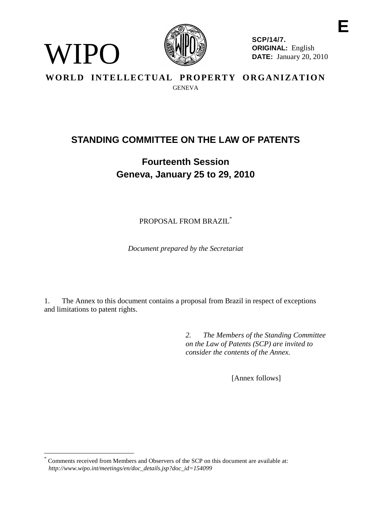

WIPO

**SCP/14/7. ORIGINAL:** English **DATE:** January 20, 2010

# **WORLD INTELLECTUAL PROPERTY ORGANIZATION GENEVA**

# **STANDING COMMITTEE ON THE LAW OF PATENTS**

# **Fourteenth Session Geneva, January 25 to 29, 2010**

PROPOSAL FROM BRAZIL\*

*Document prepared by the Secretariat*

1. The Annex to this document contains a proposal from Brazil in respect of exceptions and limitations to patent rights.

> *2. The Members of the Standing Committee on the Law of Patents (SCP) are invited to consider the contents of the Annex.*

> > [Annex follows]

Comments received from Members and Observers of the SCP on this document are available at: *http://www.wipo.int/meetings/en/doc\_details.jsp?doc\_id=154099*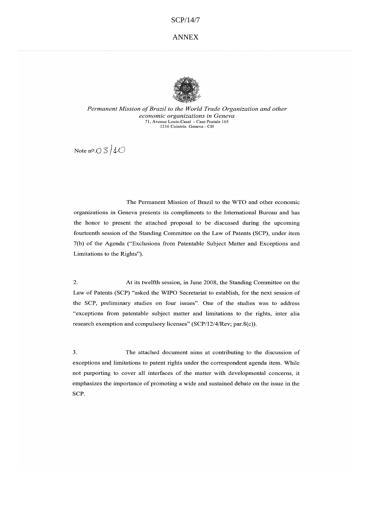#### ANNEX



Permanent Mission of Brazil to the World Trade Organization and other economic organizations in Geneva 71, Avenue Louis-Casaï - Case Postale 165 1216 Cointrin Geneva - CH

Note no.  $\bigcirc$  3/10

The Permanent Mission of Brazil to the WTO and other economic organizations in Geneva presents its compliments to the International Bureau and has the honor to present the attached proposal to be discussed during the upcoming fourteenth session of the Standing Committee on the Law of Patents (SCP), under item 7(b) of the Agenda ("Exclusions from Patentable Subject Matter and Exceptions and Limitations to the Rights").

 $\overline{2}$ . At its twelfth session, in June 2008, the Standing Committee on the Law of Patents (SCP) "asked the WIPO Secretariat to establish, for the next session of the SCP, preliminary studies on four issues". One of the studies was to address "exceptions from patentable subject matter and limitations to the rights, inter alia research exemption and compulsory licenses" (SCP/12/4/Rev; par.8(c)).

 $\overline{3}$ . The attached document aims at contributing to the discussion of exceptions and limitations to patent rights under the correspondent agenda item. While not purporting to cover all interfaces of the matter with developmental concerns, it emphasizes the importance of promoting a wide and sustained debate on the issue in the SCP.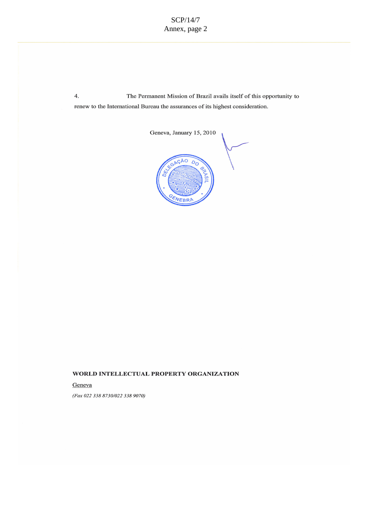4. The Permanent Mission of Brazil avails itself of this opportunity to renew to the International Bureau the assurances of its highest consideration.



#### WORLD INTELLECTUAL PROPERTY ORGANIZATION

Geneva

(Fax 022 338 8730/022 338 9070)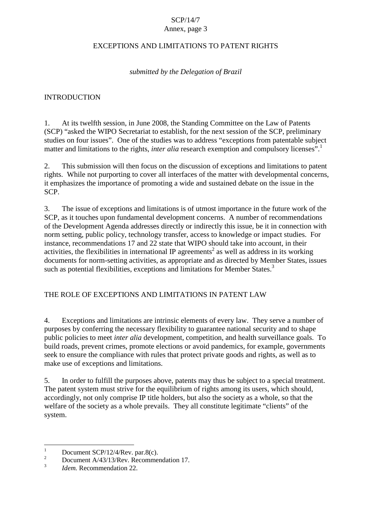#### Annex, page 3

#### EXCEPTIONS AND LIMITATIONS TO PATENT RIGHTS

### *submitted by the Delegation of Brazil*

#### INTRODUCTION

1. At its twelfth session, in June 2008, the Standing Committee on the Law of Patents (SCP) "asked the WIPO Secretariat to establish, for the next session of the SCP, preliminary studies on four issues". One of the studies was to address "exceptions from patentable subject matter and limitations to the rights, *inter alia* research exemption and compulsory licenses".<sup>1</sup>

2. This submission will then focus on the discussion of exceptions and limitations to patent rights. While not purporting to cover all interfaces of the matter with developmental concerns, it emphasizes the importance of promoting a wide and sustained debate on the issue in the SCP.

3. The issue of exceptions and limitations is of utmost importance in the future work of the SCP, as it touches upon fundamental development concerns. A number of recommendations of the Development Agenda addresses directly or indirectly this issue, be it in connection with norm setting, public policy, technology transfer, access to knowledge or impact studies. For instance, recommendations 17 and 22 state that WIPO should take into account, in their activities, the flexibilities in international IP agreements<sup>2</sup> as well as address in its working documents for norm-setting activities, as appropriate and as directed by Member States, issues such as potential flexibilities, exceptions and limitations for Member States.<sup>3</sup>

## THE ROLE OF EXCEPTIONS AND LIMITATIONS IN PATENT LAW

4. Exceptions and limitations are intrinsic elements of every law. They serve a number of purposes by conferring the necessary flexibility to guarantee national security and to shape public policies to meet *inter alia* development, competition, and health surveillance goals. To build roads, prevent crimes, promote elections or avoid pandemics, for example, governments seek to ensure the compliance with rules that protect private goods and rights, as well as to make use of exceptions and limitations.

5. In order to fulfill the purposes above, patents may thus be subject to a special treatment. The patent system must strive for the equilibrium of rights among its users, which should, accordingly, not only comprise IP title holders, but also the society as a whole, so that the welfare of the society as a whole prevails. They all constitute legitimate "clients" of the system.

<sup>&</sup>lt;sup>1</sup> Document SCP/12/4/Rev. par.8(c).<br><sup>2</sup> Document A/43/13/Rev. Recommendation 17.<br>*Idem.* Recommendation 22.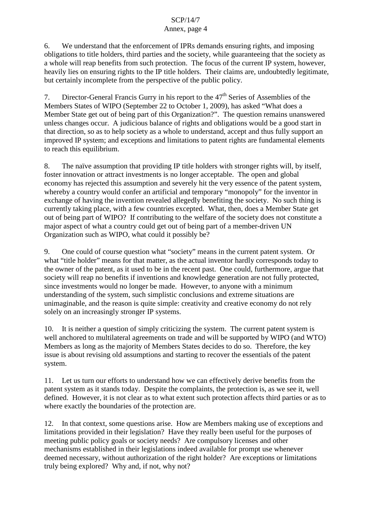#### Annex, page 4

6. We understand that the enforcement of IPRs demands ensuring rights, and imposing obligations to title holders, third parties and the society, while guaranteeing that the society as a whole will reap benefits from such protection. The focus of the current IP system, however, heavily lies on ensuring rights to the IP title holders. Their claims are, undoubtedly legitimate, but certainly incomplete from the perspective of the public policy.

7. Director-General Francis Gurry in his report to the  $47<sup>th</sup>$  Series of Assemblies of the Members States of WIPO (September 22 to October 1, 2009), has asked "What does a Member State get out of being part of this Organization?". The question remains unanswered unless changes occur. A judicious balance of rights and obligations would be a good start in that direction, so as to help society as a whole to understand, accept and thus fully support an improved IP system; and exceptions and limitations to patent rights are fundamental elements to reach this equilibrium.

8. The naïve assumption that providing IP title holders with stronger rights will, by itself, foster innovation or attract investments is no longer acceptable. The open and global economy has rejected this assumption and severely hit the very essence of the patent system, whereby a country would confer an artificial and temporary "monopoly" for the inventor in exchange of having the invention revealed allegedly benefiting the society. No such thing is currently taking place, with a few countries excepted. What, then, does a Member State get out of being part of WIPO? If contributing to the welfare of the society does not constitute a major aspect of what a country could get out of being part of a member-driven UN Organization such as WIPO, what could it possibly be?

9. One could of course question what "society" means in the current patent system. Or what "title holder" means for that matter, as the actual inventor hardly corresponds today to the owner of the patent, as it used to be in the recent past. One could, furthermore, argue that society will reap no benefits if inventions and knowledge generation are not fully protected, since investments would no longer be made. However, to anyone with a minimum understanding of the system, such simplistic conclusions and extreme situations are unimaginable, and the reason is quite simple: creativity and creative economy do not rely solely on an increasingly stronger IP systems.

10. It is neither a question of simply criticizing the system. The current patent system is well anchored to multilateral agreements on trade and will be supported by WIPO (and WTO) Members as long as the majority of Members States decides to do so. Therefore, the key issue is about revising old assumptions and starting to recover the essentials of the patent system.

11. Let us turn our efforts to understand how we can effectively derive benefits from the patent system as it stands today. Despite the complaints, the protection is, as we see it, well defined. However, it is not clear as to what extent such protection affects third parties or as to where exactly the boundaries of the protection are.

12. In that context, some questions arise. How are Members making use of exceptions and limitations provided in their legislation? Have they really been useful for the purposes of meeting public policy goals or society needs? Are compulsory licenses and other mechanisms established in their legislations indeed available for prompt use whenever deemed necessary, without authorization of the right holder? Are exceptions or limitations truly being explored? Why and, if not, why not?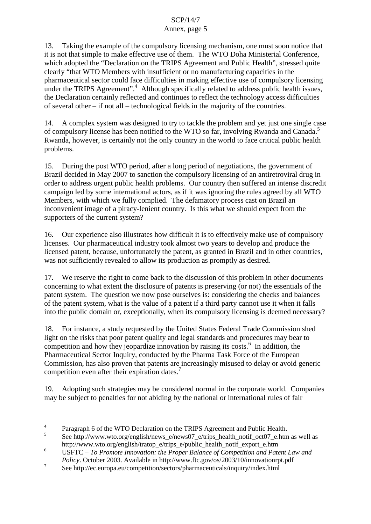## Annex, page 5

13. Taking the example of the compulsory licensing mechanism, one must soon notice that it is not that simple to make effective use of them. The WTO Doha Ministerial Conference, which adopted the "Declaration on the TRIPS Agreement and Public Health", stressed quite clearly "that WTO Members with insufficient or no manufacturing capacities in the pharmaceutical sector could face difficulties in making effective use of compulsory licensing under the TRIPS Agreement".<sup>4</sup> Although specifically related to address public health issues, the Declaration certainly reflected and continues to reflect the technology access difficulties of several other – if not all – technological fields in the majority of the countries.

14. A complex system was designed to try to tackle the problem and yet just one single case of compulsory license has been notified to the WTO so far, involving Rwanda and Canada. 5 Rwanda, however, is certainly not the only country in the world to face critical public health problems.

15. During the post WTO period, after a long period of negotiations, the government of Brazil decided in May 2007 to sanction the compulsory licensing of an antiretroviral drug in order to address urgent public health problems. Our country then suffered an intense discredit campaign led by some international actors, as if it was ignoring the rules agreed by all WTO Members, with which we fully complied. The defamatory process cast on Brazil an inconvenient image of a piracy-lenient country. Is this what we should expect from the supporters of the current system?

16. Our experience also illustrates how difficult it is to effectively make use of compulsory licenses. Our pharmaceutical industry took almost two years to develop and produce the licensed patent, because, unfortunately the patent, as granted in Brazil and in other countries, was not sufficiently revealed to allow its production as promptly as desired.

17. We reserve the right to come back to the discussion of this problem in other documents concerning to what extent the disclosure of patents is preserving (or not) the essentials of the patent system. The question we now pose ourselves is: considering the checks and balances of the patent system, what is the value of a patent if a third party cannot use it when it falls into the public domain or, exceptionally, when its compulsory licensing is deemed necessary?

18. For instance, a study requested by the United States Federal Trade Commission shed light on the risks that poor patent quality and legal standards and procedures may bear to competition and how they jeopardize innovation by raising its costs.<sup>6</sup> In addition, the Pharmaceutical Sector Inquiry, conducted by the Pharma Task Force of the European Commission, has also proven that patents are increasingly misused to delay or avoid generic competition even after their expiration dates.<sup>7</sup>

19. Adopting such strategies may be considered normal in the corporate world. Companies may be subject to penalties for not abiding by the national or international rules of fair

<sup>&</sup>lt;sup>4</sup> Paragraph 6 of the WTO Declaration on the TRIPS Agreement and Public Health.<br><sup>5</sup> See http://www.wto.org/english/news\_e/news07\_e/trips\_health\_notif\_oct07\_e.htm as well as

http://www.wto.org/english/tratop\_e/trips\_e/public\_health\_notif\_export\_e.htm

<sup>6</sup> USFTC – *To Promote Innovation: the Proper Balance of Competition and Patent Law and Policy*. October 2003. Available in http://www.ftc.gov/os/2003/10/innovationrpt.pdf

<sup>&</sup>lt;sup>7</sup> See http://ec.europa.eu/competition/sectors/pharmaceuticals/inquiry/index.html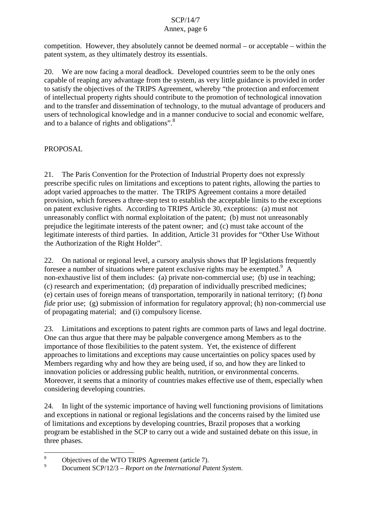### Annex, page 6

competition. However, they absolutely cannot be deemed normal – or acceptable – within the patent system, as they ultimately destroy its essentials.

20. We are now facing a moral deadlock. Developed countries seem to be the only ones capable of reaping any advantage from the system, as very little guidance is provided in order to satisfy the objectives of the TRIPS Agreement, whereby "the protection and enforcement of intellectual property rights should contribute to the promotion of technological innovation and to the transfer and dissemination of technology, to the mutual advantage of producers and users of technological knowledge and in a manner conducive to social and economic welfare, and to a balance of rights and obligations".<sup>8</sup>

# PROPOSAL.

21. The Paris Convention for the Protection of Industrial Property does not expressly prescribe specific rules on limitations and exceptions to patent rights, allowing the parties to adopt varied approaches to the matter. The TRIPS Agreement contains a more detailed provision, which foresees a three-step test to establish the acceptable limits to the exceptions on patent exclusive rights. According to TRIPS Article 30, exceptions: (a) must not unreasonably conflict with normal exploitation of the patent; (b) must not unreasonably prejudice the legitimate interests of the patent owner; and (c) must take account of the legitimate interests of third parties. In addition, Article 31 provides for "Other Use Without the Authorization of the Right Holder".

22. On national or regional level, a cursory analysis shows that IP legislations frequently foresee a number of situations where patent exclusive rights may be exempted.<sup>9</sup> A non-exhaustive list of them includes: (a) private non-commercial use; (b) use in teaching; (c) research and experimentation; (d) preparation of individually prescribed medicines; (e) certain uses of foreign means of transportation, temporarily in national territory; (f) *bona fide* prior use; (g) submission of information for regulatory approval; (h) non-commercial use of propagating material; and (i) compulsory license.

23. Limitations and exceptions to patent rights are common parts of laws and legal doctrine. One can thus argue that there may be palpable convergence among Members as to the importance of those flexibilities to the patent system. Yet, the existence of different approaches to limitations and exceptions may cause uncertainties on policy spaces used by Members regarding why and how they are being used, if so, and how they are linked to innovation policies or addressing public health, nutrition, or environmental concerns. Moreover, it seems that a minority of countries makes effective use of them, especially when considering developing countries.

24. In light of the systemic importance of having well functioning provisions of limitations and exceptions in national or regional legislations and the concerns raised by the limited use of limitations and exceptions by developing countries, Brazil proposes that a working program be established in the SCP to carry out a wide and sustained debate on this issue, in three phases.

<sup>8</sup> Objectives of the WTO TRIPS Agreement (article 7). <sup>9</sup> Document SCP/12/3 – *Report on the International Patent System*.